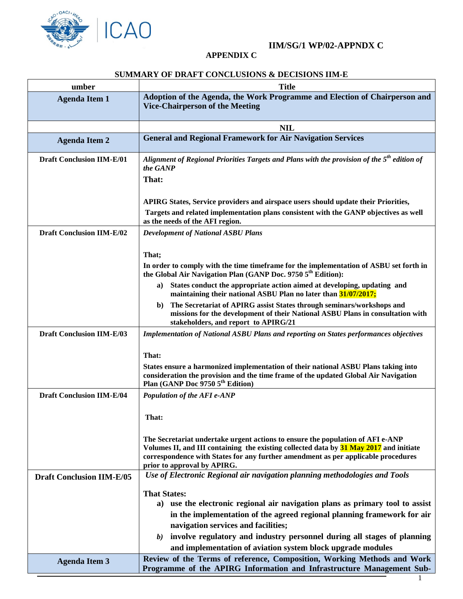

## **IIM/SG/1 WP/02-APPNDX C**

## **APPENDIX C**

## **SUMMARY OF DRAFT CONCLUSIONS & DECISIONS IIM-E**

| umber                            | <b>Title</b>                                                                                                                                                                                                                                                                                                                                                           |
|----------------------------------|------------------------------------------------------------------------------------------------------------------------------------------------------------------------------------------------------------------------------------------------------------------------------------------------------------------------------------------------------------------------|
| <b>Agenda Item 1</b>             | Adoption of the Agenda, the Work Programme and Election of Chairperson and<br><b>Vice-Chairperson of the Meeting</b>                                                                                                                                                                                                                                                   |
|                                  | <b>NIL</b>                                                                                                                                                                                                                                                                                                                                                             |
| <b>Agenda Item 2</b>             | <b>General and Regional Framework for Air Navigation Services</b>                                                                                                                                                                                                                                                                                                      |
| <b>Draft Conclusion IIM-E/01</b> | Alignment of Regional Priorities Targets and Plans with the provision of the $5th$ edition of<br>the GANP<br>That:                                                                                                                                                                                                                                                     |
|                                  | APIRG States, Service providers and airspace users should update their Priorities,<br>Targets and related implementation plans consistent with the GANP objectives as well<br>as the needs of the AFI region.                                                                                                                                                          |
| <b>Draft Conclusion IIM-E/02</b> | <b>Development of National ASBU Plans</b>                                                                                                                                                                                                                                                                                                                              |
|                                  | That;<br>In order to comply with the time timeframe for the implementation of ASBU set forth in<br>the Global Air Navigation Plan (GANP Doc. 9750 5 <sup>th</sup> Edition):                                                                                                                                                                                            |
|                                  | States conduct the appropriate action aimed at developing, updating and<br>a)<br>maintaining their national ASBU Plan no later than 31/07/2017;                                                                                                                                                                                                                        |
|                                  | The Secretariat of APIRG assist States through seminars/workshops and<br>b)<br>missions for the development of their National ASBU Plans in consultation with<br>stakeholders, and report to APIRG/21                                                                                                                                                                  |
| <b>Draft Conclusion IIM-E/03</b> | <b>Implementation of National ASBU Plans and reporting on States performances objectives</b>                                                                                                                                                                                                                                                                           |
|                                  | That:<br>States ensure a harmonized implementation of their national ASBU Plans taking into<br>consideration the provision and the time frame of the updated Global Air Navigation<br>Plan (GANP Doc 9750 5 <sup>th</sup> Edition)                                                                                                                                     |
| <b>Draft Conclusion IIM-E/04</b> | Population of the AFI e-ANP                                                                                                                                                                                                                                                                                                                                            |
|                                  | That:                                                                                                                                                                                                                                                                                                                                                                  |
|                                  | The Secretariat undertake urgent actions to ensure the population of AFI e-ANP<br>Volumes II, and III containing the existing collected data by 31 May 2017 and initiate<br>correspondence with States for any further amendment as per applicable procedures<br>prior to approval by APIRG.                                                                           |
| <b>Draft Conclusion IIM-E/05</b> | Use of Electronic Regional air navigation planning methodologies and Tools                                                                                                                                                                                                                                                                                             |
|                                  | <b>That States:</b><br>a) use the electronic regional air navigation plans as primary tool to assist<br>in the implementation of the agreed regional planning framework for air<br>navigation services and facilities;<br>involve regulatory and industry personnel during all stages of planning<br>b)<br>and implementation of aviation system block upgrade modules |
| <b>Agenda Item 3</b>             | Review of the Terms of reference, Composition, Working Methods and Work<br>Programme of the APIRG Information and Infrastructure Management Sub-                                                                                                                                                                                                                       |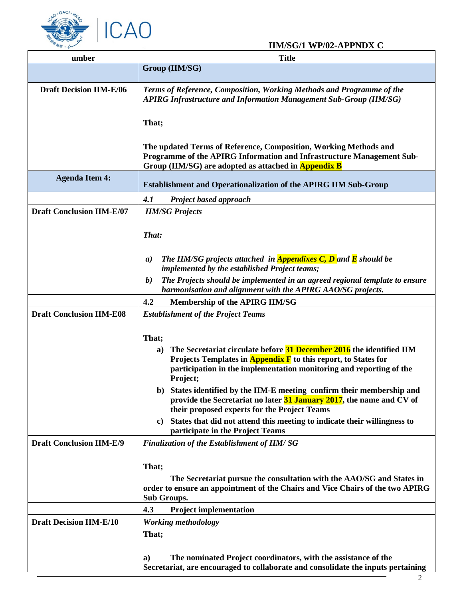

## **IIM/SG/1 WP/02-APPNDX C**

| umber                            | <b>Title</b>                                                                                                                                                                                                                                    |
|----------------------------------|-------------------------------------------------------------------------------------------------------------------------------------------------------------------------------------------------------------------------------------------------|
|                                  | Group (IIM/SG)                                                                                                                                                                                                                                  |
| <b>Draft Decision IIM-E/06</b>   | Terms of Reference, Composition, Working Methods and Programme of the<br><b>APIRG Infrastructure and Information Management Sub-Group (IIM/SG)</b>                                                                                              |
|                                  | That;                                                                                                                                                                                                                                           |
|                                  | The updated Terms of Reference, Composition, Working Methods and<br>Programme of the APIRG Information and Infrastructure Management Sub-<br>Group (IIM/SG) are adopted as attached in Appendix B                                               |
| <b>Agenda Item 4:</b>            | <b>Establishment and Operationalization of the APIRG IIM Sub-Group</b>                                                                                                                                                                          |
|                                  | 4.1<br><b>Project based approach</b>                                                                                                                                                                                                            |
| <b>Draft Conclusion IIM-E/07</b> | <b>IIM/SG Projects</b>                                                                                                                                                                                                                          |
|                                  | That:                                                                                                                                                                                                                                           |
|                                  | The IIM/SG projects attached in <b>Appendixes C, D</b> and <b>E</b> should be<br>$\boldsymbol{a}$<br>implemented by the established Project teams;                                                                                              |
|                                  | The Projects should be implemented in an agreed regional template to ensure<br>b)<br>harmonisation and alignment with the APIRG AAO/SG projects.                                                                                                |
|                                  | 4.2<br><b>Membership of the APIRG IIM/SG</b>                                                                                                                                                                                                    |
| <b>Draft Conclusion IIM-E08</b>  | <b>Establishment of the Project Teams</b>                                                                                                                                                                                                       |
|                                  | That;<br>The Secretariat circulate before 31 December 2016 the identified IIM<br>a)<br>Projects Templates in <b>Appendix F</b> to this report, to States for<br>participation in the implementation monitoring and reporting of the<br>Project; |
|                                  | b) States identified by the IIM-E meeting confirm their membership and<br>provide the Secretariat no later 31 January 2017, the name and CV of<br>their proposed experts for the Project Teams                                                  |
|                                  | States that did not attend this meeting to indicate their willingness to<br>C)<br>participate in the Project Teams                                                                                                                              |
| <b>Draft Conclusion IIM-E/9</b>  | <b>Finalization of the Establishment of IIM/SG</b>                                                                                                                                                                                              |
|                                  | That;<br>The Secretariat pursue the consultation with the AAO/SG and States in<br>order to ensure an appointment of the Chairs and Vice Chairs of the two APIRG<br>Sub Groups.<br>4.3<br><b>Project implementation</b>                          |
| <b>Draft Decision IIM-E/10</b>   | <b>Working methodology</b>                                                                                                                                                                                                                      |
|                                  | That;                                                                                                                                                                                                                                           |
|                                  | The nominated Project coordinators, with the assistance of the<br>a)<br>Secretariat, are encouraged to collaborate and consolidate the inputs pertaining                                                                                        |